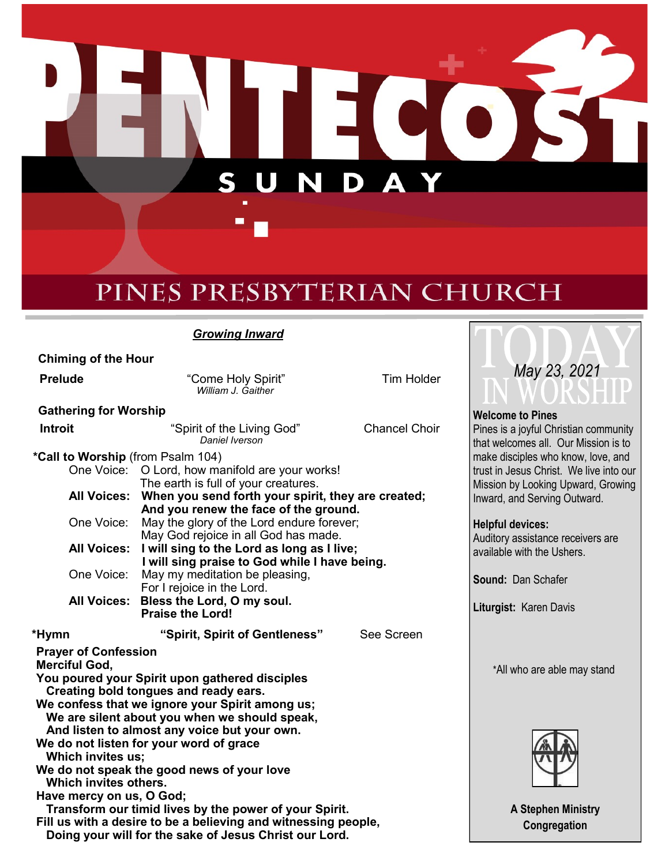N П S D  $\Box$ Δ

# PINES PRESBYTERIAN CHURCH

*Growing Inward*

 **Chiming of the Hour**

**Prelude Come Holy Spirit"** Tim Holder *William J. Gaither*

**Gathering for Worship**

| <b>Introit</b>                                                                          | "Spirit of the Living God"<br>Daniel Iverson                                       | <b>Chancel Choir</b> |  |  |
|-----------------------------------------------------------------------------------------|------------------------------------------------------------------------------------|----------------------|--|--|
| *Call to Worship (from Psalm 104)                                                       |                                                                                    |                      |  |  |
|                                                                                         | One Voice: O Lord, how manifold are your works!                                    |                      |  |  |
|                                                                                         | The earth is full of your creatures.                                               |                      |  |  |
| All Voices:                                                                             | When you send forth your spirit, they are created;                                 |                      |  |  |
|                                                                                         | And you renew the face of the ground.                                              |                      |  |  |
| One Voice:                                                                              | May the glory of the Lord endure forever;                                          |                      |  |  |
| <b>All Voices:</b>                                                                      | May God rejoice in all God has made.<br>I will sing to the Lord as long as I live; |                      |  |  |
|                                                                                         | I will sing praise to God while I have being.                                      |                      |  |  |
| One Voice:                                                                              | May my meditation be pleasing,                                                     |                      |  |  |
|                                                                                         | For I rejoice in the Lord.                                                         |                      |  |  |
| <b>All Voices:</b>                                                                      | Bless the Lord, O my soul.                                                         |                      |  |  |
|                                                                                         | <b>Praise the Lord!</b>                                                            |                      |  |  |
| *Hymn                                                                                   | "Spirit, Spirit of Gentleness"                                                     | See Screen           |  |  |
| <b>Prayer of Confession</b>                                                             |                                                                                    |                      |  |  |
| <b>Merciful God,</b>                                                                    |                                                                                    |                      |  |  |
| You poured your Spirit upon gathered disciples<br>Creating bold tongues and ready ears. |                                                                                    |                      |  |  |
| We confess that we ignore your Spirit among us;                                         |                                                                                    |                      |  |  |
| We are silent about you when we should speak,                                           |                                                                                    |                      |  |  |
| And listen to almost any voice but your own.                                            |                                                                                    |                      |  |  |
| We do not listen for your word of grace                                                 |                                                                                    |                      |  |  |
| Which invites us;                                                                       |                                                                                    |                      |  |  |
| We do not speak the good news of your love<br>Which invites others.                     |                                                                                    |                      |  |  |
| Have mercy on us, O God;                                                                |                                                                                    |                      |  |  |
| Transform our timid lives by the power of your Spirit.                                  |                                                                                    |                      |  |  |
| Fill us with a desire to be a believing and witnessing people,                          |                                                                                    |                      |  |  |
| Doing your will for the sake of Jesus Christ our Lord.                                  |                                                                                    |                      |  |  |



**Welcome to Pines** Pines is a joyful Christian community that welcomes all. Our Mission is to make disciples who know, love, and trust in Jesus Christ. We live into our Mission by Looking Upward, Growing Inward, and Serving Outward.

#### **Helpful devices:**

Auditory assistance receivers are available with the Ushers.

**Sound:** Dan Schafer

**Liturgist:** Karen Davis

\*All who are able may stand



**A Stephen Ministry Congregation**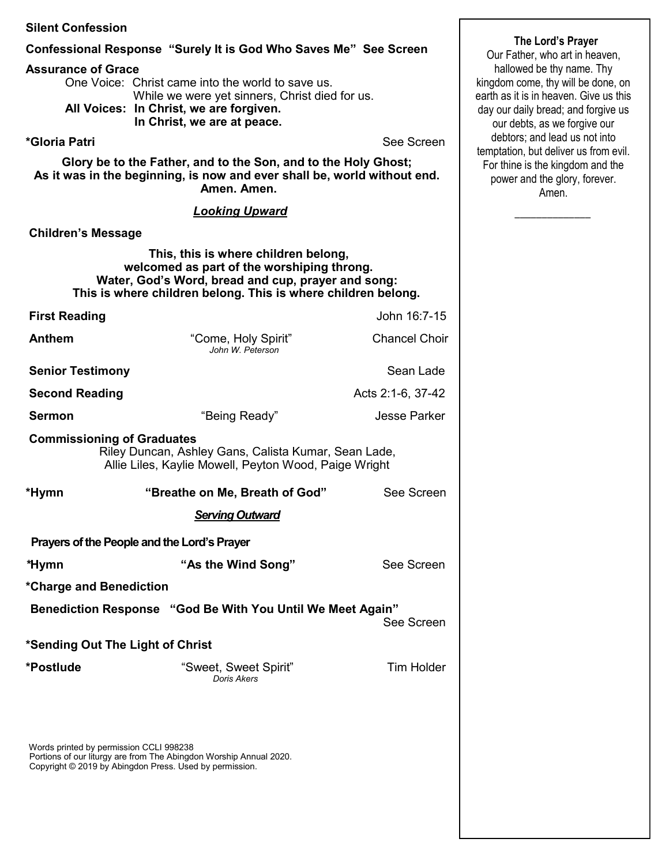| <b>Silent Confession</b>                                                                                                                                  |                                                                                                                                                                                                           |                      |                                                                                                           |
|-----------------------------------------------------------------------------------------------------------------------------------------------------------|-----------------------------------------------------------------------------------------------------------------------------------------------------------------------------------------------------------|----------------------|-----------------------------------------------------------------------------------------------------------|
| Confessional Response "Surely It is God Who Saves Me" See Screen                                                                                          |                                                                                                                                                                                                           |                      | The Lord's Prayer<br>Our Father, who art in heaven,                                                       |
| <b>Assurance of Grace</b>                                                                                                                                 | One Voice: Christ came into the world to save us.<br>While we were yet sinners, Christ died for us.                                                                                                       |                      | hallowed be thy name. Thy<br>kingdom come, thy will be done, on<br>earth as it is in heaven. Give us this |
|                                                                                                                                                           | All Voices: In Christ, we are forgiven.<br>In Christ, we are at peace.                                                                                                                                    |                      | day our daily bread; and forgive us<br>our debts, as we forgive our                                       |
| *Gloria Patri                                                                                                                                             |                                                                                                                                                                                                           | See Screen           | debtors; and lead us not into<br>temptation, but deliver us from evil.                                    |
| Glory be to the Father, and to the Son, and to the Holy Ghost;<br>As it was in the beginning, is now and ever shall be, world without end.<br>Amen. Amen. |                                                                                                                                                                                                           |                      | For thine is the kingdom and the<br>power and the glory, forever.<br>Amen.                                |
|                                                                                                                                                           | <b>Looking Upward</b>                                                                                                                                                                                     |                      |                                                                                                           |
| <b>Children's Message</b>                                                                                                                                 |                                                                                                                                                                                                           |                      |                                                                                                           |
|                                                                                                                                                           | This, this is where children belong,<br>welcomed as part of the worshiping throng.<br>Water, God's Word, bread and cup, prayer and song:<br>This is where children belong. This is where children belong. |                      |                                                                                                           |
| <b>First Reading</b>                                                                                                                                      |                                                                                                                                                                                                           | John 16:7-15         |                                                                                                           |
| <b>Anthem</b>                                                                                                                                             | "Come, Holy Spirit"<br>John W. Peterson                                                                                                                                                                   | <b>Chancel Choir</b> |                                                                                                           |
| <b>Senior Testimony</b>                                                                                                                                   |                                                                                                                                                                                                           | Sean Lade            |                                                                                                           |
| <b>Second Reading</b>                                                                                                                                     |                                                                                                                                                                                                           | Acts 2:1-6, 37-42    |                                                                                                           |
| <b>Sermon</b>                                                                                                                                             | "Being Ready"                                                                                                                                                                                             | <b>Jesse Parker</b>  |                                                                                                           |
| <b>Commissioning of Graduates</b>                                                                                                                         | Riley Duncan, Ashley Gans, Calista Kumar, Sean Lade,<br>Allie Liles, Kaylie Mowell, Peyton Wood, Paige Wright                                                                                             |                      |                                                                                                           |
| *Hymn                                                                                                                                                     | "Breathe on Me, Breath of God"                                                                                                                                                                            | See Screen           |                                                                                                           |
|                                                                                                                                                           | <b>Serving Outward</b>                                                                                                                                                                                    |                      |                                                                                                           |
|                                                                                                                                                           | Prayers of the People and the Lord's Prayer                                                                                                                                                               |                      |                                                                                                           |
| *Hymn                                                                                                                                                     | "As the Wind Song"                                                                                                                                                                                        | See Screen           |                                                                                                           |
| *Charge and Benediction                                                                                                                                   |                                                                                                                                                                                                           |                      |                                                                                                           |
|                                                                                                                                                           | Benediction Response "God Be With You Until We Meet Again"                                                                                                                                                | See Screen           |                                                                                                           |
| *Sending Out The Light of Christ                                                                                                                          |                                                                                                                                                                                                           |                      |                                                                                                           |
| *Postlude                                                                                                                                                 | "Sweet, Sweet Spirit"<br>Doris Akers                                                                                                                                                                      | <b>Tim Holder</b>    |                                                                                                           |
|                                                                                                                                                           |                                                                                                                                                                                                           |                      |                                                                                                           |
| Words printed by permission CCLI 998238                                                                                                                   |                                                                                                                                                                                                           |                      |                                                                                                           |

Portions of our liturgy are from The Abingdon Worship Annual 2020. Copyright © 2019 by Abingdon Press. Used by permission.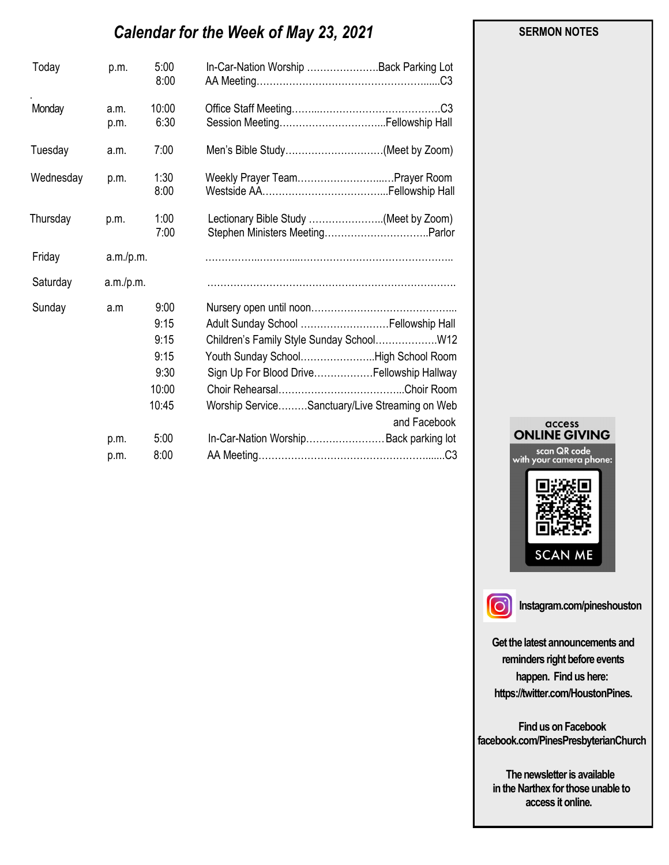# *Calendar for the Week of May 23, 2021*

| 5:00<br>Today<br>p.m.<br>8:00                                           | In-Car-Nation Worship Back Parking Lot                                                                                                                                                     |
|-------------------------------------------------------------------------|--------------------------------------------------------------------------------------------------------------------------------------------------------------------------------------------|
| Monday<br>10:00<br>a.m.<br>6:30<br>p.m.                                 |                                                                                                                                                                                            |
| 7:00<br>Tuesday<br>a.m.                                                 | Men's Bible Study(Meet by Zoom)                                                                                                                                                            |
| 1:30<br>Wednesday<br>p.m.<br>8:00                                       | Weekly Prayer Team Prayer Room                                                                                                                                                             |
| 1:00<br>Thursday<br>p.m.<br>7:00                                        | Lectionary Bible Study (Meet by Zoom)                                                                                                                                                      |
| Friday<br>a.m./p.m.                                                     |                                                                                                                                                                                            |
| Saturday<br>a.m./p.m.                                                   |                                                                                                                                                                                            |
| 9:00<br>Sunday<br>a.m<br>9:15<br>9:15<br>9:15<br>9:30<br>10:00<br>10:45 | Adult Sunday School  Fellowship Hall<br>Youth Sunday SchoolHigh School Room<br>Sign Up For Blood DriveFellowship Hallway<br>Worship ServiceSanctuary/Live Streaming on Web<br>and Facebook |
| 5:00<br>p.m.<br>8:00<br>p.m.                                            | In-Car-Nation Worship Back parking lot                                                                                                                                                     |





**Instagram.com/pineshouston**

**Get the latest announcements and reminders right before events happen. Find us here: https://twitter.com/HoustonPines.** 

 **Find us on Facebook facebook.com/PinesPresbyterianChurch** 

 **The newsletter is available in the Narthex for those unable to access it online.** 

#### **SERMON NOTES**